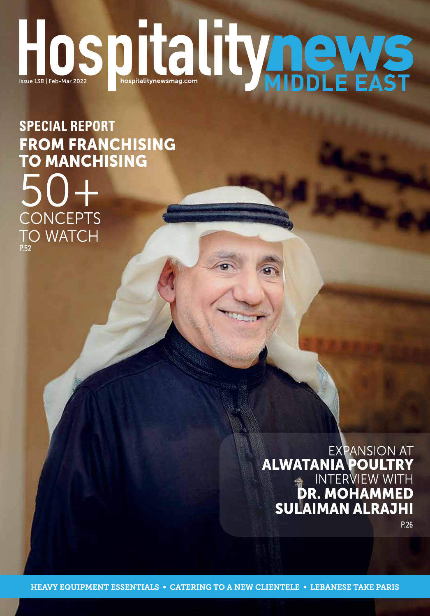# HOSDIC INTERNATION

**SPECIAL REPORT** FROM FRANCHISING<br>TO MANCHISING CONCEPTS **TO WATCH** 

> **EXPANSION AT ALWATANIA POULTRY<br>INTERVIEW WITH<br>DR. MOHAMMED<br>SULAIMAN ALRAJHI**

P.26

**HEAVY EQUIPMENT ESSENTIALS • CATERING TO A NEW CLIENTELE • LEBANESE TAKE PARIS**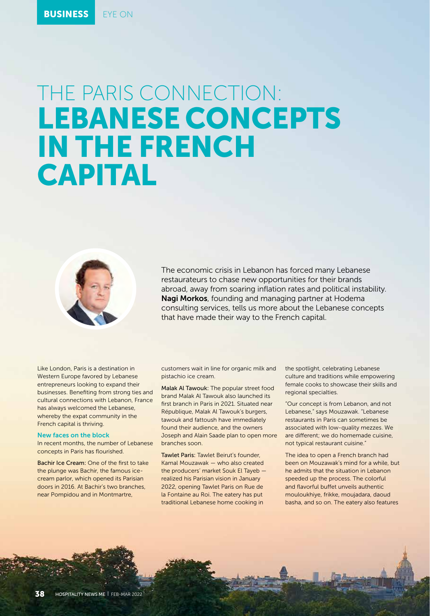# THE PARIS CONNECTION: LEBANESE CONCEPTS IN THE FRENCH CAPITAL



The economic crisis in Lebanon has forced many Lebanese restaurateurs to chase new opportunities for their brands abroad, away from soaring inflation rates and political instability. Nagi Morkos, founding and managing partner at Hodema consulting services, tells us more about the Lebanese concepts that have made their way to the French capital.

Like London, Paris is a destination in Western Europe favored by Lebanese entrepreneurs looking to expand their businesses. Benefiting from strong ties and cultural connections with Lebanon, France has always welcomed the Lebanese, whereby the expat community in the French capital is thriving.

## New faces on the block

In recent months, the number of Lebanese concepts in Paris has flourished.

Bachir Ice Cream: One of the first to take the plunge was Bachir, the famous icecream parlor, which opened its Parisian doors in 2016. At Bachir's two branches, near Pompidou and in Montmartre,

customers wait in line for organic milk and pistachio ice cream.

Malak Al Tawouk: The popular street food brand Malak Al Tawouk also launched its first branch in Paris in 2021. Situated near République, Malak Al Tawouk's burgers, tawouk and fattoush have immediately found their audience, and the owners Joseph and Alain Saade plan to open more branches soon.

Tawlet Paris: Tawlet Beirut's founder, Kamal Mouzawak — who also created the producers' market Souk El Tayeb realized his Parisian vision in January 2022, opening Tawlet Paris on Rue de la Fontaine au Roi. The eatery has put traditional Lebanese home cooking in

the spotlight, celebrating Lebanese culture and traditions while empowering female cooks to showcase their skills and regional specialties.

"Our concept is from Lebanon, and not Lebanese," says Mouzawak. "Lebanese restaurants in Paris can sometimes be associated with low-quality mezzes. We are different; we do homemade cuisine, not typical restaurant cuisine."

The idea to open a French branch had been on Mouzawak's mind for a while, but he admits that the situation in Lebanon speeded up the process. The colorful and flavorful buffet unveils authentic mouloukhiye, frikke, moujadara, daoud basha, and so on. The eatery also features